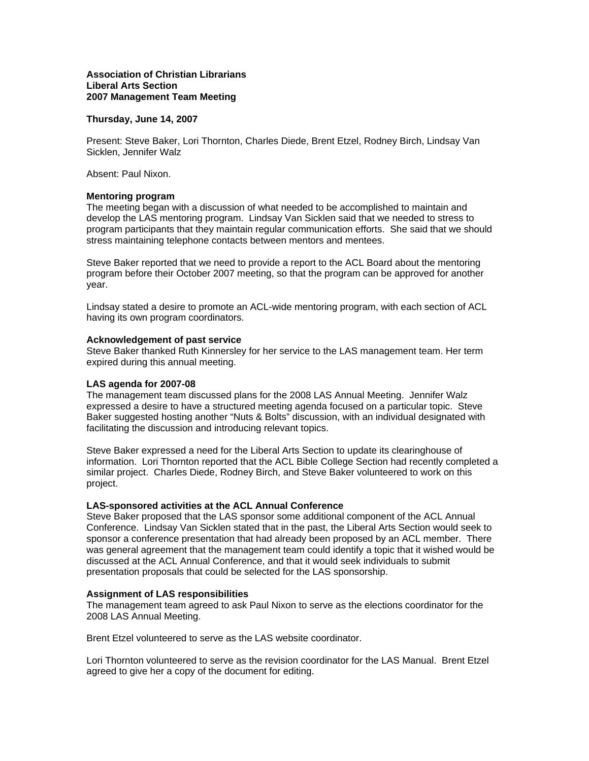## **Association of Christian Librarians Liberal Arts Section 2007 Management Team Meeting**

## **Thursday, June 14, 2007**

Present: Steve Baker, Lori Thornton, Charles Diede, Brent Etzel, Rodney Birch, Lindsay Van Sicklen, Jennifer Walz

Absent: Paul Nixon.

#### **Mentoring program**

The meeting began with a discussion of what needed to be accomplished to maintain and develop the LAS mentoring program. Lindsay Van Sicklen said that we needed to stress to program participants that they maintain regular communication efforts. She said that we should stress maintaining telephone contacts between mentors and mentees.

Steve Baker reported that we need to provide a report to the ACL Board about the mentoring program before their October 2007 meeting, so that the program can be approved for another year.

Lindsay stated a desire to promote an ACL-wide mentoring program, with each section of ACL having its own program coordinators.

#### **Acknowledgement of past service**

Steve Baker thanked Ruth Kinnersley for her service to the LAS management team. Her term expired during this annual meeting.

## **LAS agenda for 2007-08**

The management team discussed plans for the 2008 LAS Annual Meeting. Jennifer Walz expressed a desire to have a structured meeting agenda focused on a particular topic. Steve Baker suggested hosting another "Nuts & Bolts" discussion, with an individual designated with facilitating the discussion and introducing relevant topics.

Steve Baker expressed a need for the Liberal Arts Section to update its clearinghouse of information. Lori Thornton reported that the ACL Bible College Section had recently completed a similar project. Charles Diede, Rodney Birch, and Steve Baker volunteered to work on this project.

## **LAS-sponsored activities at the ACL Annual Conference**

Steve Baker proposed that the LAS sponsor some additional component of the ACL Annual Conference. Lindsay Van Sicklen stated that in the past, the Liberal Arts Section would seek to sponsor a conference presentation that had already been proposed by an ACL member. There was general agreement that the management team could identify a topic that it wished would be discussed at the ACL Annual Conference, and that it would seek individuals to submit presentation proposals that could be selected for the LAS sponsorship.

## **Assignment of LAS responsibilities**

The management team agreed to ask Paul Nixon to serve as the elections coordinator for the 2008 LAS Annual Meeting.

Brent Etzel volunteered to serve as the LAS website coordinator.

Lori Thornton volunteered to serve as the revision coordinator for the LAS Manual. Brent Etzel agreed to give her a copy of the document for editing.